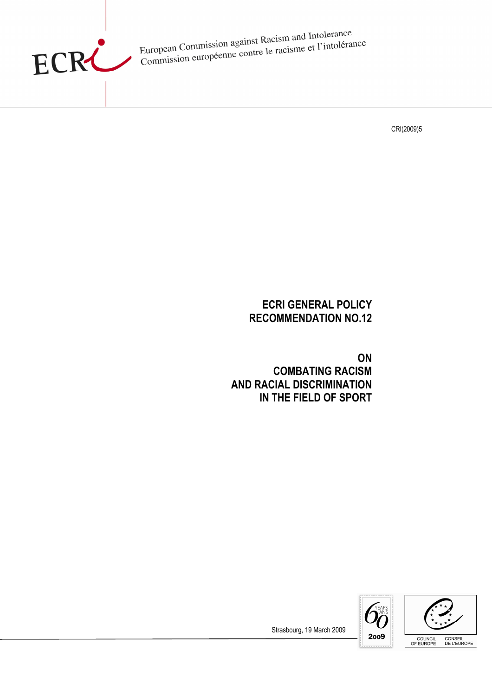

European Commission against Racism and Intolerance<br>European Commission against Racisme et l'intolérai European Commission against Racism and Information<br>Commission européenne contre le racisme et l'intolérance

CRI(2009)5

# ECRI GENERAL POLICY RECOMMENDATION NO.12

**ON** COMBATING RACISM AND RACIAL DISCRIMINATION IN THE FIELD OF SPORT





Strasbourg, 19 March 2009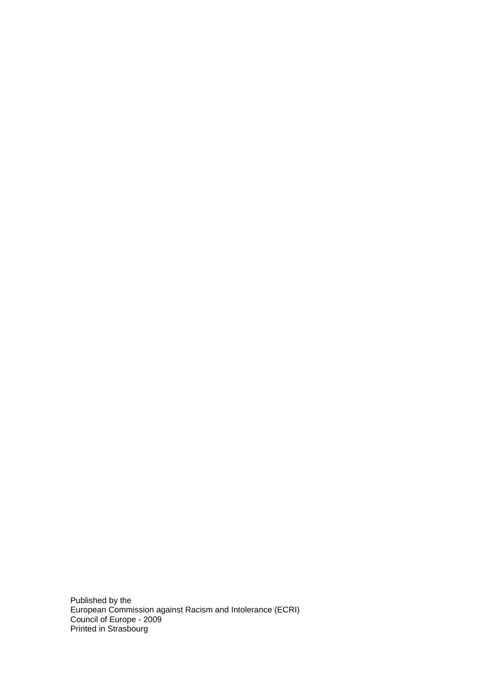Published by the European Commission against Racism and Intolerance (ECRI) Council of Europe - 2009 Printed in Strasbourg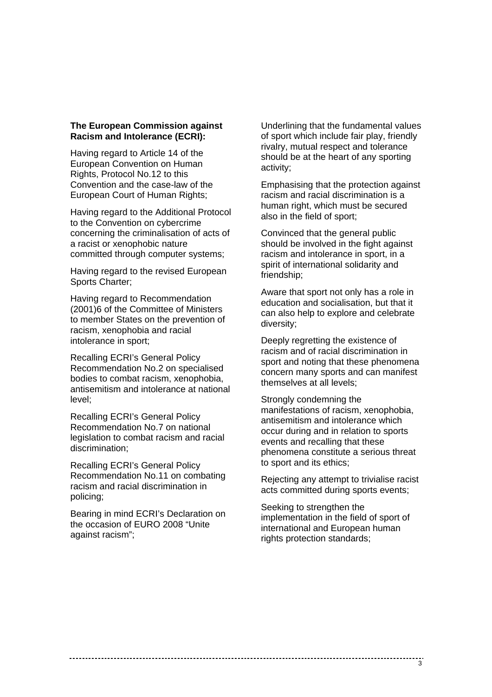#### **The European Commission against Racism and Intolerance (ECRI):**

Having regard to Article 14 of the European Convention on Human Rights, Protocol No.12 to this Convention and the case-law of the European Court of Human Rights;

Having regard to the Additional Protocol to the Convention on cybercrime concerning the criminalisation of acts of a racist or xenophobic nature committed through computer systems;

Having regard to the revised European Sports Charter;

Having regard to Recommendation (2001)6 of the Committee of Ministers to member States on the prevention of racism, xenophobia and racial intolerance in sport;

Recalling ECRI's General Policy Recommendation No.2 on specialised bodies to combat racism, xenophobia, antisemitism and intolerance at national level;

Recalling ECRI's General Policy Recommendation No.7 on national legislation to combat racism and racial discrimination;

Recalling ECRI's General Policy Recommendation No.11 on combating racism and racial discrimination in policing;

Bearing in mind ECRI's Declaration on the occasion of EURO 2008 "Unite against racism";

Underlining that the fundamental values of sport which include fair play, friendly rivalry, mutual respect and tolerance should be at the heart of any sporting activity;

Emphasising that the protection against racism and racial discrimination is a human right, which must be secured also in the field of sport;

Convinced that the general public should be involved in the fight against racism and intolerance in sport, in a spirit of international solidarity and friendship;

Aware that sport not only has a role in education and socialisation, but that it can also help to explore and celebrate diversity;

Deeply regretting the existence of racism and of racial discrimination in sport and noting that these phenomena concern many sports and can manifest themselves at all levels;

Strongly condemning the manifestations of racism, xenophobia, antisemitism and intolerance which occur during and in relation to sports events and recalling that these phenomena constitute a serious threat to sport and its ethics;

Rejecting any attempt to trivialise racist acts committed during sports events;

Seeking to strengthen the implementation in the field of sport of international and European human rights protection standards;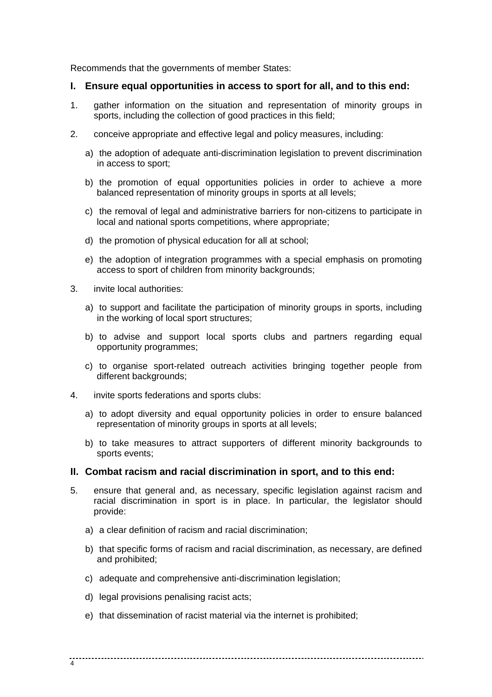Recommends that the governments of member States:

# **I. Ensure equal opportunities in access to sport for all, and to this end:**

- 1. gather information on the situation and representation of minority groups in sports, including the collection of good practices in this field;
- 2. conceive appropriate and effective legal and policy measures, including:
	- a) the adoption of adequate anti-discrimination legislation to prevent discrimination in access to sport;
	- b) the promotion of equal opportunities policies in order to achieve a more balanced representation of minority groups in sports at all levels;
	- c) the removal of legal and administrative barriers for non-citizens to participate in local and national sports competitions, where appropriate;
	- d) the promotion of physical education for all at school;
	- e) the adoption of integration programmes with a special emphasis on promoting access to sport of children from minority backgrounds;
- 3. invite local authorities:
	- a) to support and facilitate the participation of minority groups in sports, including in the working of local sport structures;
	- b) to advise and support local sports clubs and partners regarding equal opportunity programmes;
	- c) to organise sport-related outreach activities bringing together people from different backgrounds:
- 4. invite sports federations and sports clubs:
	- a) to adopt diversity and equal opportunity policies in order to ensure balanced representation of minority groups in sports at all levels;
	- b) to take measures to attract supporters of different minority backgrounds to sports events;

# **II. Combat racism and racial discrimination in sport, and to this end:**

- 5. ensure that general and, as necessary, specific legislation against racism and racial discrimination in sport is in place. In particular, the legislator should provide:
	- a) a clear definition of racism and racial discrimination;
	- b) that specific forms of racism and racial discrimination, as necessary, are defined and prohibited;
	- c) adequate and comprehensive anti-discrimination legislation;
	- d) legal provisions penalising racist acts;
	- e) that dissemination of racist material via the internet is prohibited;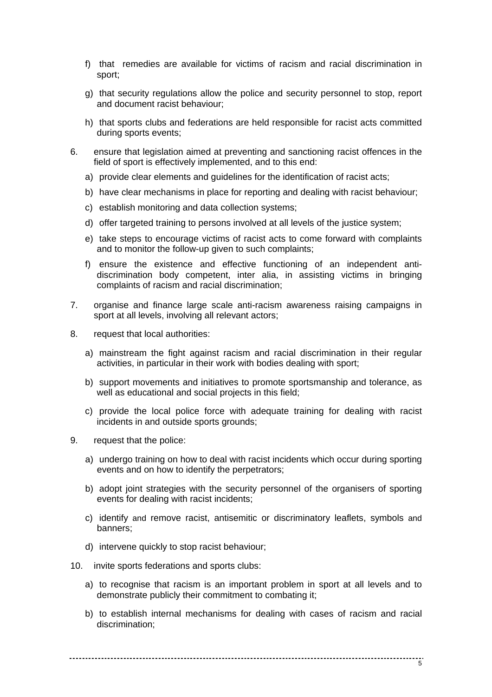- f) that remedies are available for victims of racism and racial discrimination in sport;
- g) that security regulations allow the police and security personnel to stop, report and document racist behaviour;
- h) that sports clubs and federations are held responsible for racist acts committed during sports events;
- 6. ensure that legislation aimed at preventing and sanctioning racist offences in the field of sport is effectively implemented, and to this end:
	- a) provide clear elements and guidelines for the identification of racist acts;
	- b) have clear mechanisms in place for reporting and dealing with racist behaviour;
	- c) establish monitoring and data collection systems;
	- d) offer targeted training to persons involved at all levels of the justice system;
	- e) take steps to encourage victims of racist acts to come forward with complaints and to monitor the follow-up given to such complaints;
	- f) ensure the existence and effective functioning of an independent antidiscrimination body competent, inter alia, in assisting victims in bringing complaints of racism and racial discrimination;
- 7. organise and finance large scale anti-racism awareness raising campaigns in sport at all levels, involving all relevant actors;
- 8. request that local authorities:
	- a) mainstream the fight against racism and racial discrimination in their regular activities, in particular in their work with bodies dealing with sport;
	- b) support movements and initiatives to promote sportsmanship and tolerance, as well as educational and social projects in this field;
	- c) provide the local police force with adequate training for dealing with racist incidents in and outside sports grounds;
- 9. request that the police:
	- a) undergo training on how to deal with racist incidents which occur during sporting events and on how to identify the perpetrators;
	- b) adopt joint strategies with the security personnel of the organisers of sporting events for dealing with racist incidents;
	- c) identify and remove racist, antisemitic or discriminatory leaflets, symbols and banners;
	- d) intervene quickly to stop racist behaviour;
- 10. invite sports federations and sports clubs:
	- a) to recognise that racism is an important problem in sport at all levels and to demonstrate publicly their commitment to combating it;
	- b) to establish internal mechanisms for dealing with cases of racism and racial discrimination;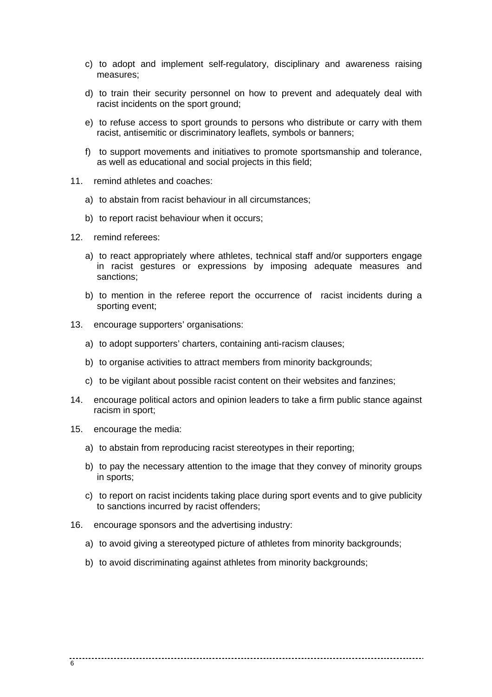- c) to adopt and implement self-regulatory, disciplinary and awareness raising measures;
- d) to train their security personnel on how to prevent and adequately deal with racist incidents on the sport ground;
- e) to refuse access to sport grounds to persons who distribute or carry with them racist, antisemitic or discriminatory leaflets, symbols or banners;
- f) to support movements and initiatives to promote sportsmanship and tolerance, as well as educational and social projects in this field;
- 11. remind athletes and coaches:
	- a) to abstain from racist behaviour in all circumstances;
	- b) to report racist behaviour when it occurs;
- 12. remind referees:
	- a) to react appropriately where athletes, technical staff and/or supporters engage in racist gestures or expressions by imposing adequate measures and sanctions;
	- b) to mention in the referee report the occurrence of racist incidents during a sporting event;
- 13. encourage supporters' organisations:
	- a) to adopt supporters' charters, containing anti-racism clauses;
	- b) to organise activities to attract members from minority backgrounds;
	- c) to be vigilant about possible racist content on their websites and fanzines;
- 14. encourage political actors and opinion leaders to take a firm public stance against racism in sport;
- 15. encourage the media:
	- a) to abstain from reproducing racist stereotypes in their reporting;
	- b) to pay the necessary attention to the image that they convey of minority groups in sports;
	- c) to report on racist incidents taking place during sport events and to give publicity to sanctions incurred by racist offenders;
- 16. encourage sponsors and the advertising industry:
	- a) to avoid giving a stereotyped picture of athletes from minority backgrounds;
	- b) to avoid discriminating against athletes from minority backgrounds: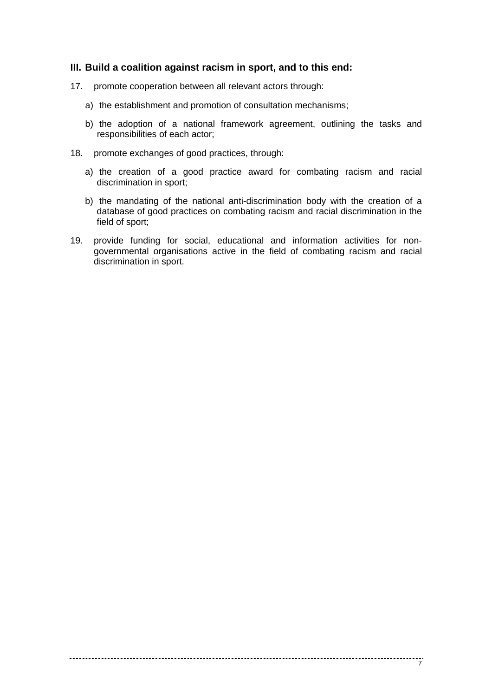## **III. Build a coalition against racism in sport, and to this end:**

- 17. promote cooperation between all relevant actors through:
	- a) the establishment and promotion of consultation mechanisms;
	- b) the adoption of a national framework agreement, outlining the tasks and responsibilities of each actor;
- 18. promote exchanges of good practices, through:
	- a) the creation of a good practice award for combating racism and racial discrimination in sport;
	- b) the mandating of the national anti-discrimination body with the creation of a database of good practices on combating racism and racial discrimination in the field of sport;
- 19. provide funding for social, educational and information activities for nongovernmental organisations active in the field of combating racism and racial discrimination in sport.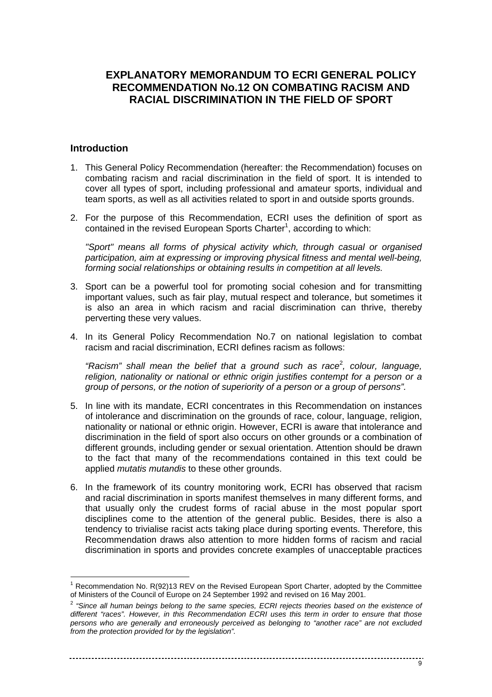# **EXPLANATORY MEMORANDUM TO ECRI GENERAL POLICY RECOMMENDATION No.12 ON COMBATING RACISM AND RACIAL DISCRIMINATION IN THE FIELD OF SPORT**

# **Introduction**

l

- 1. This General Policy Recommendation (hereafter: the Recommendation) focuses on combating racism and racial discrimination in the field of sport. It is intended to cover all types of sport, including professional and amateur sports, individual and team sports, as well as all activities related to sport in and outside sports grounds.
- 2. For the purpose of this Recommendation, ECRI uses the definition of sport as contained in the revised European Sports Charter<sup>1</sup>, according to which:

"Sport" means all forms of physical activity which, through casual or organised participation, aim at expressing or improving physical fitness and mental well-being, forming social relationships or obtaining results in competition at all levels.

- 3. Sport can be a powerful tool for promoting social cohesion and for transmitting important values, such as fair play, mutual respect and tolerance, but sometimes it is also an area in which racism and racial discrimination can thrive, thereby perverting these very values.
- 4. In its General Policy Recommendation No.7 on national legislation to combat racism and racial discrimination, ECRI defines racism as follows:

"Racism" shall mean the belief that a ground such as race<sup>2</sup>, colour, language, religion, nationality or national or ethnic origin justifies contempt for a person or a group of persons, or the notion of superiority of a person or a group of persons".

- 5. In line with its mandate, ECRI concentrates in this Recommendation on instances of intolerance and discrimination on the grounds of race, colour, language, religion, nationality or national or ethnic origin. However, ECRI is aware that intolerance and discrimination in the field of sport also occurs on other grounds or a combination of different grounds, including gender or sexual orientation. Attention should be drawn to the fact that many of the recommendations contained in this text could be applied mutatis mutandis to these other grounds.
- 6. In the framework of its country monitoring work, ECRI has observed that racism and racial discrimination in sports manifest themselves in many different forms, and that usually only the crudest forms of racial abuse in the most popular sport disciplines come to the attention of the general public. Besides, there is also a tendency to trivialise racist acts taking place during sporting events. Therefore, this Recommendation draws also attention to more hidden forms of racism and racial discrimination in sports and provides concrete examples of unacceptable practices

<sup>&</sup>lt;sup>1</sup> Recommendation No. R(92)13 REV on the Revised European Sport Charter, adopted by the Committee of Ministers of the Council of Europe on 24 September 1992 and revised on 16 May 2001.

 $2$  "Since all human beings belong to the same species, ECRI rejects theories based on the existence of different "races". However, in this Recommendation ECRI uses this term in order to ensure that those persons who are generally and erroneously perceived as belonging to "another race" are not excluded from the protection provided for by the legislation".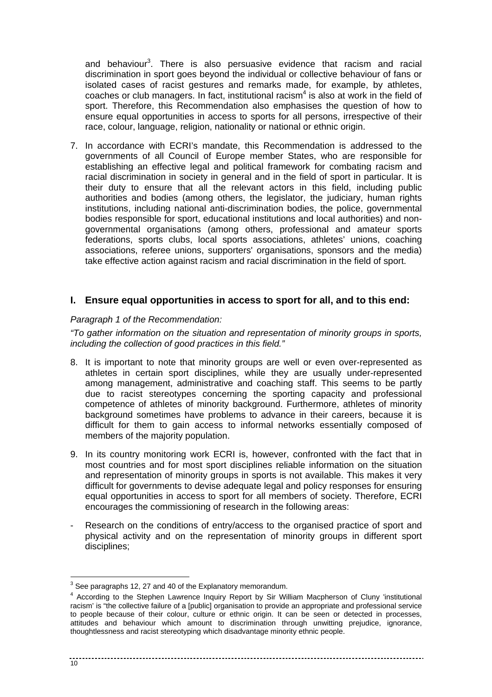and behaviour<sup>3</sup>. There is also persuasive evidence that racism and racial discrimination in sport goes beyond the individual or collective behaviour of fans or isolated cases of racist gestures and remarks made, for example, by athletes, coaches or club managers. In fact, institutional racism $4$  is also at work in the field of sport. Therefore, this Recommendation also emphasises the question of how to ensure equal opportunities in access to sports for all persons, irrespective of their race, colour, language, religion, nationality or national or ethnic origin.

7. In accordance with ECRI's mandate, this Recommendation is addressed to the governments of all Council of Europe member States, who are responsible for establishing an effective legal and political framework for combating racism and racial discrimination in society in general and in the field of sport in particular. It is their duty to ensure that all the relevant actors in this field, including public authorities and bodies (among others, the legislator, the judiciary, human rights institutions, including national anti-discrimination bodies, the police, governmental bodies responsible for sport, educational institutions and local authorities) and nongovernmental organisations (among others, professional and amateur sports federations, sports clubs, local sports associations, athletes' unions, coaching associations, referee unions, supporters' organisations, sponsors and the media) take effective action against racism and racial discrimination in the field of sport.

# **I. Ensure equal opportunities in access to sport for all, and to this end:**

#### Paragraph 1 of the Recommendation:

"To gather information on the situation and representation of minority groups in sports, including the collection of good practices in this field."

- 8. It is important to note that minority groups are well or even over-represented as athletes in certain sport disciplines, while they are usually under-represented among management, administrative and coaching staff. This seems to be partly due to racist stereotypes concerning the sporting capacity and professional competence of athletes of minority background. Furthermore, athletes of minority background sometimes have problems to advance in their careers, because it is difficult for them to gain access to informal networks essentially composed of members of the majority population.
- 9. In its country monitoring work ECRI is, however, confronted with the fact that in most countries and for most sport disciplines reliable information on the situation and representation of minority groups in sports is not available. This makes it very difficult for governments to devise adequate legal and policy responses for ensuring equal opportunities in access to sport for all members of society. Therefore, ECRI encourages the commissioning of research in the following areas:
- Research on the conditions of entry/access to the organised practice of sport and physical activity and on the representation of minority groups in different sport disciplines;

l

 $3$  See paragraphs 12, 27 and 40 of the Explanatory memorandum.

<sup>&</sup>lt;sup>4</sup> According to the Stephen Lawrence Inquiry Report by Sir William Macpherson of Cluny 'institutional racism' is "the collective failure of a [public] organisation to provide an appropriate and professional service to people because of their colour, culture or ethnic origin. It can be seen or detected in processes, attitudes and behaviour which amount to discrimination through unwitting prejudice, ignorance, thoughtlessness and racist stereotyping which disadvantage minority ethnic people.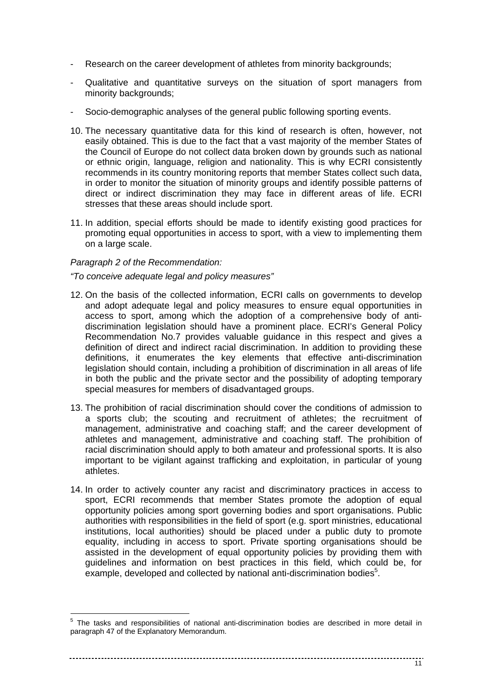- Research on the career development of athletes from minority backgrounds;
- Qualitative and quantitative surveys on the situation of sport managers from minority backgrounds;
- Socio-demographic analyses of the general public following sporting events.
- 10. The necessary quantitative data for this kind of research is often, however, not easily obtained. This is due to the fact that a vast majority of the member States of the Council of Europe do not collect data broken down by grounds such as national or ethnic origin, language, religion and nationality. This is why ECRI consistently recommends in its country monitoring reports that member States collect such data, in order to monitor the situation of minority groups and identify possible patterns of direct or indirect discrimination they may face in different areas of life. ECRI stresses that these areas should include sport.
- 11. In addition, special efforts should be made to identify existing good practices for promoting equal opportunities in access to sport, with a view to implementing them on a large scale.

#### Paragraph 2 of the Recommendation:

#### "To conceive adequate legal and policy measures"

- 12. On the basis of the collected information, ECRI calls on governments to develop and adopt adequate legal and policy measures to ensure equal opportunities in access to sport, among which the adoption of a comprehensive body of antidiscrimination legislation should have a prominent place. ECRI's General Policy Recommendation No.7 provides valuable guidance in this respect and gives a definition of direct and indirect racial discrimination. In addition to providing these definitions, it enumerates the key elements that effective anti-discrimination legislation should contain, including a prohibition of discrimination in all areas of life in both the public and the private sector and the possibility of adopting temporary special measures for members of disadvantaged groups.
- 13. The prohibition of racial discrimination should cover the conditions of admission to a sports club; the scouting and recruitment of athletes; the recruitment of management, administrative and coaching staff; and the career development of athletes and management, administrative and coaching staff. The prohibition of racial discrimination should apply to both amateur and professional sports. It is also important to be vigilant against trafficking and exploitation, in particular of young athletes.
- 14. In order to actively counter any racist and discriminatory practices in access to sport, ECRI recommends that member States promote the adoption of equal opportunity policies among sport governing bodies and sport organisations. Public authorities with responsibilities in the field of sport (e.g. sport ministries, educational institutions, local authorities) should be placed under a public duty to promote equality, including in access to sport. Private sporting organisations should be assisted in the development of equal opportunity policies by providing them with guidelines and information on best practices in this field, which could be, for example, developed and collected by national anti-discrimination bodies<sup>5</sup>.

<sup>&</sup>lt;sup>5</sup> The tasks and responsibilities of national anti-discrimination bodies are described in more detail in paragraph 47 of the Explanatory Memorandum.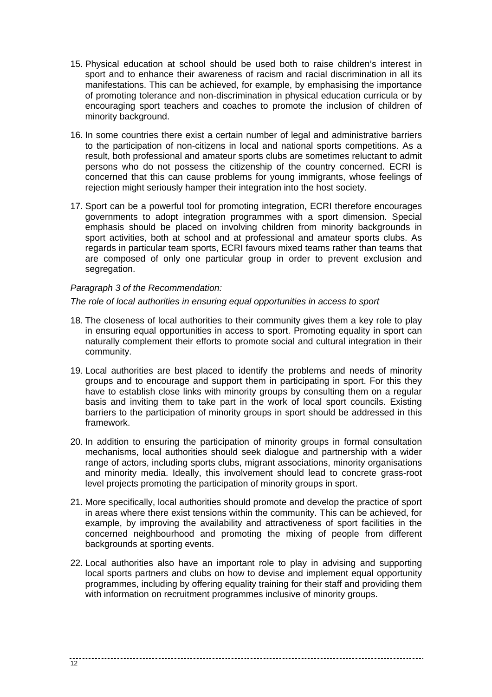- 15. Physical education at school should be used both to raise children's interest in sport and to enhance their awareness of racism and racial discrimination in all its manifestations. This can be achieved, for example, by emphasising the importance of promoting tolerance and non-discrimination in physical education curricula or by encouraging sport teachers and coaches to promote the inclusion of children of minority background.
- 16. In some countries there exist a certain number of legal and administrative barriers to the participation of non-citizens in local and national sports competitions. As a result, both professional and amateur sports clubs are sometimes reluctant to admit persons who do not possess the citizenship of the country concerned. ECRI is concerned that this can cause problems for young immigrants, whose feelings of rejection might seriously hamper their integration into the host society.
- 17. Sport can be a powerful tool for promoting integration, ECRI therefore encourages governments to adopt integration programmes with a sport dimension. Special emphasis should be placed on involving children from minority backgrounds in sport activities, both at school and at professional and amateur sports clubs. As regards in particular team sports, ECRI favours mixed teams rather than teams that are composed of only one particular group in order to prevent exclusion and segregation.

# Paragraph 3 of the Recommendation:

# The role of local authorities in ensuring equal opportunities in access to sport

- 18. The closeness of local authorities to their community gives them a key role to play in ensuring equal opportunities in access to sport. Promoting equality in sport can naturally complement their efforts to promote social and cultural integration in their community.
- 19. Local authorities are best placed to identify the problems and needs of minority groups and to encourage and support them in participating in sport. For this they have to establish close links with minority groups by consulting them on a regular basis and inviting them to take part in the work of local sport councils. Existing barriers to the participation of minority groups in sport should be addressed in this framework.
- 20. In addition to ensuring the participation of minority groups in formal consultation mechanisms, local authorities should seek dialogue and partnership with a wider range of actors, including sports clubs, migrant associations, minority organisations and minority media. Ideally, this involvement should lead to concrete grass-root level projects promoting the participation of minority groups in sport.
- 21. More specifically, local authorities should promote and develop the practice of sport in areas where there exist tensions within the community. This can be achieved, for example, by improving the availability and attractiveness of sport facilities in the concerned neighbourhood and promoting the mixing of people from different backgrounds at sporting events.
- 22. Local authorities also have an important role to play in advising and supporting local sports partners and clubs on how to devise and implement equal opportunity programmes, including by offering equality training for their staff and providing them with information on recruitment programmes inclusive of minority groups.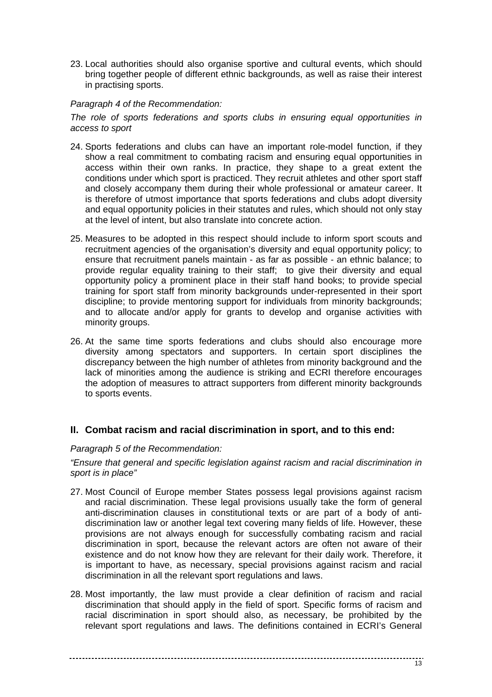23. Local authorities should also organise sportive and cultural events, which should bring together people of different ethnic backgrounds, as well as raise their interest in practising sports.

# Paragraph 4 of the Recommendation:

The role of sports federations and sports clubs in ensuring equal opportunities in access to sport

- 24. Sports federations and clubs can have an important role-model function, if they show a real commitment to combating racism and ensuring equal opportunities in access within their own ranks. In practice, they shape to a great extent the conditions under which sport is practiced. They recruit athletes and other sport staff and closely accompany them during their whole professional or amateur career. It is therefore of utmost importance that sports federations and clubs adopt diversity and equal opportunity policies in their statutes and rules, which should not only stay at the level of intent, but also translate into concrete action.
- 25. Measures to be adopted in this respect should include to inform sport scouts and recruitment agencies of the organisation's diversity and equal opportunity policy; to ensure that recruitment panels maintain - as far as possible - an ethnic balance; to provide regular equality training to their staff; to give their diversity and equal opportunity policy a prominent place in their staff hand books; to provide special training for sport staff from minority backgrounds under-represented in their sport discipline; to provide mentoring support for individuals from minority backgrounds; and to allocate and/or apply for grants to develop and organise activities with minority groups.
- 26. At the same time sports federations and clubs should also encourage more diversity among spectators and supporters. In certain sport disciplines the discrepancy between the high number of athletes from minority background and the lack of minorities among the audience is striking and ECRI therefore encourages the adoption of measures to attract supporters from different minority backgrounds to sports events.

# **II. Combat racism and racial discrimination in sport, and to this end:**

# Paragraph 5 of the Recommendation:

"Ensure that general and specific legislation against racism and racial discrimination in sport is in place"

- 27. Most Council of Europe member States possess legal provisions against racism and racial discrimination. These legal provisions usually take the form of general anti-discrimination clauses in constitutional texts or are part of a body of antidiscrimination law or another legal text covering many fields of life. However, these provisions are not always enough for successfully combating racism and racial discrimination in sport, because the relevant actors are often not aware of their existence and do not know how they are relevant for their daily work. Therefore, it is important to have, as necessary, special provisions against racism and racial discrimination in all the relevant sport regulations and laws.
- 28. Most importantly, the law must provide a clear definition of racism and racial discrimination that should apply in the field of sport. Specific forms of racism and racial discrimination in sport should also, as necessary, be prohibited by the relevant sport regulations and laws. The definitions contained in ECRI's General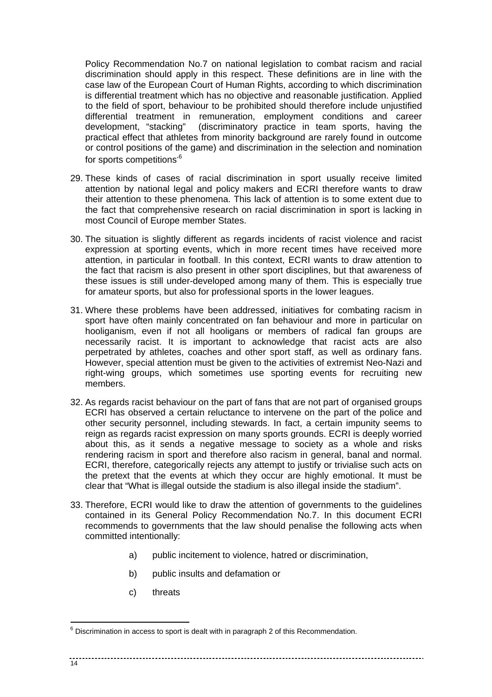Policy Recommendation No.7 on national legislation to combat racism and racial discrimination should apply in this respect. These definitions are in line with the case law of the European Court of Human Rights, according to which discrimination is differential treatment which has no objective and reasonable justification. Applied to the field of sport, behaviour to be prohibited should therefore include unjustified differential treatment in remuneration, employment conditions and career development, "stacking" (discriminatory practice in team sports, having the practical effect that athletes from minority background are rarely found in outcome or control positions of the game) and discrimination in the selection and nomination for sports competitions<sup>.6</sup>

- 29. These kinds of cases of racial discrimination in sport usually receive limited attention by national legal and policy makers and ECRI therefore wants to draw their attention to these phenomena. This lack of attention is to some extent due to the fact that comprehensive research on racial discrimination in sport is lacking in most Council of Europe member States.
- 30. The situation is slightly different as regards incidents of racist violence and racist expression at sporting events, which in more recent times have received more attention, in particular in football. In this context, ECRI wants to draw attention to the fact that racism is also present in other sport disciplines, but that awareness of these issues is still under-developed among many of them. This is especially true for amateur sports, but also for professional sports in the lower leagues.
- 31. Where these problems have been addressed, initiatives for combating racism in sport have often mainly concentrated on fan behaviour and more in particular on hooliganism, even if not all hooligans or members of radical fan groups are necessarily racist. It is important to acknowledge that racist acts are also perpetrated by athletes, coaches and other sport staff, as well as ordinary fans. However, special attention must be given to the activities of extremist Neo-Nazi and right-wing groups, which sometimes use sporting events for recruiting new members.
- 32. As regards racist behaviour on the part of fans that are not part of organised groups ECRI has observed a certain reluctance to intervene on the part of the police and other security personnel, including stewards. In fact, a certain impunity seems to reign as regards racist expression on many sports grounds. ECRI is deeply worried about this, as it sends a negative message to society as a whole and risks rendering racism in sport and therefore also racism in general, banal and normal. ECRI, therefore, categorically rejects any attempt to justify or trivialise such acts on the pretext that the events at which they occur are highly emotional. It must be clear that "What is illegal outside the stadium is also illegal inside the stadium".
- 33. Therefore, ECRI would like to draw the attention of governments to the guidelines contained in its General Policy Recommendation No.7. In this document ECRI recommends to governments that the law should penalise the following acts when committed intentionally:
	- a) public incitement to violence, hatred or discrimination,

- b) public insults and defamation or
- c) threats

#### $14$

l

 $6$  Discrimination in access to sport is dealt with in paragraph 2 of this Recommendation.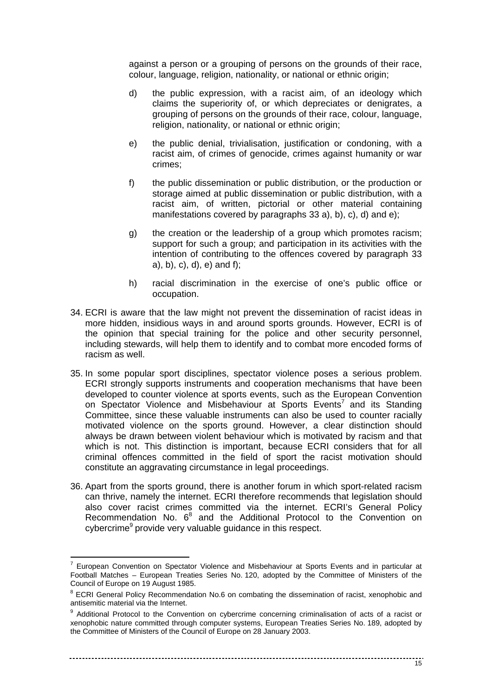against a person or a grouping of persons on the grounds of their race, colour, language, religion, nationality, or national or ethnic origin;

- d) the public expression, with a racist aim, of an ideology which claims the superiority of, or which depreciates or denigrates, a grouping of persons on the grounds of their race, colour, language, religion, nationality, or national or ethnic origin;
- e) the public denial, trivialisation, justification or condoning, with a racist aim, of crimes of genocide, crimes against humanity or war crimes;
- f) the public dissemination or public distribution, or the production or storage aimed at public dissemination or public distribution, with a racist aim, of written, pictorial or other material containing manifestations covered by paragraphs 33 a), b), c), d) and e);
- g) the creation or the leadership of a group which promotes racism; support for such a group; and participation in its activities with the intention of contributing to the offences covered by paragraph 33 a), b), c), d), e) and f);
- h) racial discrimination in the exercise of one's public office or occupation.
- 34. ECRI is aware that the law might not prevent the dissemination of racist ideas in more hidden, insidious ways in and around sports grounds. However, ECRI is of the opinion that special training for the police and other security personnel, including stewards, will help them to identify and to combat more encoded forms of racism as well.
- 35. In some popular sport disciplines, spectator violence poses a serious problem. ECRI strongly supports instruments and cooperation mechanisms that have been developed to counter violence at sports events, such as the European Convention on Spectator Violence and Misbehaviour at Sports Events<sup>7</sup> and its Standing Committee, since these valuable instruments can also be used to counter racially motivated violence on the sports ground. However, a clear distinction should always be drawn between violent behaviour which is motivated by racism and that which is not. This distinction is important, because ECRI considers that for all criminal offences committed in the field of sport the racist motivation should constitute an aggravating circumstance in legal proceedings.
- 36. Apart from the sports ground, there is another forum in which sport-related racism can thrive, namely the internet. ECRI therefore recommends that legislation should also cover racist crimes committed via the internet. ECRI's General Policy Recommendation No.  $6^8$  and the Additional Protocol to the Convention on cybercrime<sup>9</sup> provide very valuable guidance in this respect.

l

<sup>7</sup> European Convention on Spectator Violence and Misbehaviour at Sports Events and in particular at Football Matches – European Treaties Series No. 120, adopted by the Committee of Ministers of the Council of Europe on 19 August 1985.

<sup>&</sup>lt;sup>8</sup> ECRI General Policy Recommendation No.6 on combating the dissemination of racist, xenophobic and antisemitic material via the Internet.

<sup>&</sup>lt;sup>9</sup> Additional Protocol to the Convention on cybercrime concerning criminalisation of acts of a racist or xenophobic nature committed through computer systems, European Treaties Series No. 189, adopted by the Committee of Ministers of the Council of Europe on 28 January 2003.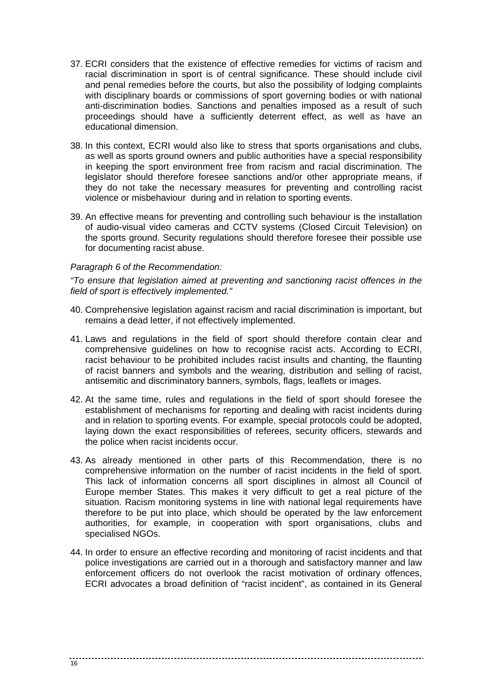- 37. ECRI considers that the existence of effective remedies for victims of racism and racial discrimination in sport is of central significance. These should include civil and penal remedies before the courts, but also the possibility of lodging complaints with disciplinary boards or commissions of sport governing bodies or with national anti-discrimination bodies. Sanctions and penalties imposed as a result of such proceedings should have a sufficiently deterrent effect, as well as have an educational dimension.
- 38. In this context, ECRI would also like to stress that sports organisations and clubs, as well as sports ground owners and public authorities have a special responsibility in keeping the sport environment free from racism and racial discrimination. The legislator should therefore foresee sanctions and/or other appropriate means, if they do not take the necessary measures for preventing and controlling racist violence or misbehaviour during and in relation to sporting events.
- 39. An effective means for preventing and controlling such behaviour is the installation of audio-visual video cameras and CCTV systems (Closed Circuit Television) on the sports ground. Security regulations should therefore foresee their possible use for documenting racist abuse.

#### Paragraph 6 of the Recommendation:

"To ensure that legislation aimed at preventing and sanctioning racist offences in the field of sport is effectively implemented."

- 40. Comprehensive legislation against racism and racial discrimination is important, but remains a dead letter, if not effectively implemented.
- 41. Laws and regulations in the field of sport should therefore contain clear and comprehensive guidelines on how to recognise racist acts. According to ECRI, racist behaviour to be prohibited includes racist insults and chanting, the flaunting of racist banners and symbols and the wearing, distribution and selling of racist, antisemitic and discriminatory banners, symbols, flags, leaflets or images.
- 42. At the same time, rules and regulations in the field of sport should foresee the establishment of mechanisms for reporting and dealing with racist incidents during and in relation to sporting events. For example, special protocols could be adopted, laying down the exact responsibilities of referees, security officers, stewards and the police when racist incidents occur.
- 43. As already mentioned in other parts of this Recommendation, there is no comprehensive information on the number of racist incidents in the field of sport. This lack of information concerns all sport disciplines in almost all Council of Europe member States. This makes it very difficult to get a real picture of the situation. Racism monitoring systems in line with national legal requirements have therefore to be put into place, which should be operated by the law enforcement authorities, for example, in cooperation with sport organisations, clubs and specialised NGOs.
- 44. In order to ensure an effective recording and monitoring of racist incidents and that police investigations are carried out in a thorough and satisfactory manner and law enforcement officers do not overlook the racist motivation of ordinary offences, ECRI advocates a broad definition of "racist incident", as contained in its General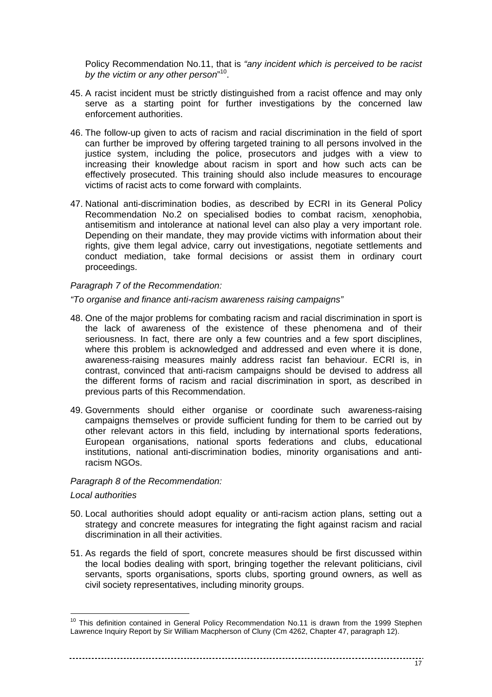Policy Recommendation No.11, that is "any incident which is perceived to be racist by the victim or any other person"<sup>10</sup>.

- 45. A racist incident must be strictly distinguished from a racist offence and may only serve as a starting point for further investigations by the concerned law enforcement authorities.
- 46. The follow-up given to acts of racism and racial discrimination in the field of sport can further be improved by offering targeted training to all persons involved in the justice system, including the police, prosecutors and judges with a view to increasing their knowledge about racism in sport and how such acts can be effectively prosecuted. This training should also include measures to encourage victims of racist acts to come forward with complaints.
- 47. National anti-discrimination bodies, as described by ECRI in its General Policy Recommendation No.2 on specialised bodies to combat racism, xenophobia, antisemitism and intolerance at national level can also play a very important role. Depending on their mandate, they may provide victims with information about their rights, give them legal advice, carry out investigations, negotiate settlements and conduct mediation, take formal decisions or assist them in ordinary court proceedings.

#### Paragraph 7 of the Recommendation:

"To organise and finance anti-racism awareness raising campaigns"

- 48. One of the major problems for combating racism and racial discrimination in sport is the lack of awareness of the existence of these phenomena and of their seriousness. In fact, there are only a few countries and a few sport disciplines, where this problem is acknowledged and addressed and even where it is done, awareness-raising measures mainly address racist fan behaviour. ECRI is, in contrast, convinced that anti-racism campaigns should be devised to address all the different forms of racism and racial discrimination in sport, as described in previous parts of this Recommendation.
- 49. Governments should either organise or coordinate such awareness-raising campaigns themselves or provide sufficient funding for them to be carried out by other relevant actors in this field, including by international sports federations, European organisations, national sports federations and clubs, educational institutions, national anti-discrimination bodies, minority organisations and antiracism NGOs.

#### Paragraph 8 of the Recommendation:

#### Local authorities

- 50. Local authorities should adopt equality or anti-racism action plans, setting out a strategy and concrete measures for integrating the fight against racism and racial discrimination in all their activities.
- 51. As regards the field of sport, concrete measures should be first discussed within the local bodies dealing with sport, bringing together the relevant politicians, civil servants, sports organisations, sports clubs, sporting ground owners, as well as civil society representatives, including minority groups.

<sup>&</sup>lt;sup>10</sup> This definition contained in General Policy Recommendation No.11 is drawn from the 1999 Stephen Lawrence Inquiry Report by Sir William Macpherson of Cluny (Cm 4262, Chapter 47, paragraph 12).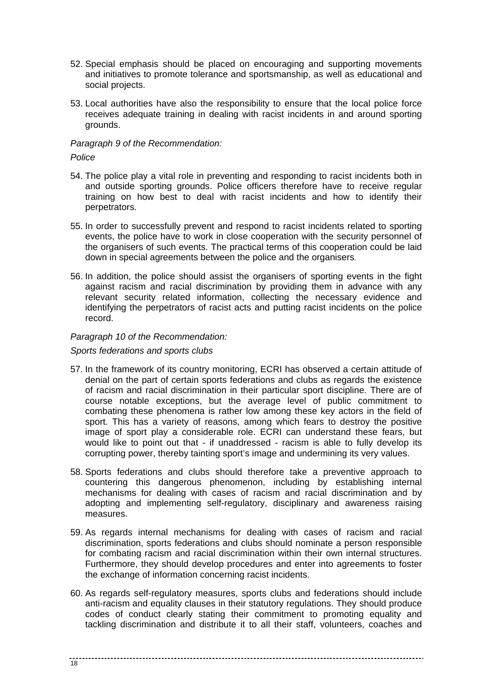- 52. Special emphasis should be placed on encouraging and supporting movements and initiatives to promote tolerance and sportsmanship, as well as educational and social projects.
- 53. Local authorities have also the responsibility to ensure that the local police force receives adequate training in dealing with racist incidents in and around sporting grounds.

### Paragraph 9 of the Recommendation:

Police

- 54. The police play a vital role in preventing and responding to racist incidents both in and outside sporting grounds. Police officers therefore have to receive regular training on how best to deal with racist incidents and how to identify their perpetrators.
- 55. In order to successfully prevent and respond to racist incidents related to sporting events, the police have to work in close cooperation with the security personnel of the organisers of such events. The practical terms of this cooperation could be laid down in special agreements between the police and the organisers.
- 56. In addition, the police should assist the organisers of sporting events in the fight against racism and racial discrimination by providing them in advance with any relevant security related information, collecting the necessary evidence and identifying the perpetrators of racist acts and putting racist incidents on the police record.

# Paragraph 10 of the Recommendation:

#### Sports federations and sports clubs

- 57. In the framework of its country monitoring, ECRI has observed a certain attitude of denial on the part of certain sports federations and clubs as regards the existence of racism and racial discrimination in their particular sport discipline. There are of course notable exceptions, but the average level of public commitment to combating these phenomena is rather low among these key actors in the field of sport. This has a variety of reasons, among which fears to destroy the positive image of sport play a considerable role. ECRI can understand these fears, but would like to point out that - if unaddressed - racism is able to fully develop its corrupting power, thereby tainting sport's image and undermining its very values.
- 58. Sports federations and clubs should therefore take a preventive approach to countering this dangerous phenomenon, including by establishing internal mechanisms for dealing with cases of racism and racial discrimination and by adopting and implementing self-regulatory, disciplinary and awareness raising measures.
- 59. As regards internal mechanisms for dealing with cases of racism and racial discrimination, sports federations and clubs should nominate a person responsible for combating racism and racial discrimination within their own internal structures. Furthermore, they should develop procedures and enter into agreements to foster the exchange of information concerning racist incidents.
- 60. As regards self-regulatory measures, sports clubs and federations should include anti-racism and equality clauses in their statutory regulations. They should produce codes of conduct clearly stating their commitment to promoting equality and tackling discrimination and distribute it to all their staff, volunteers, coaches and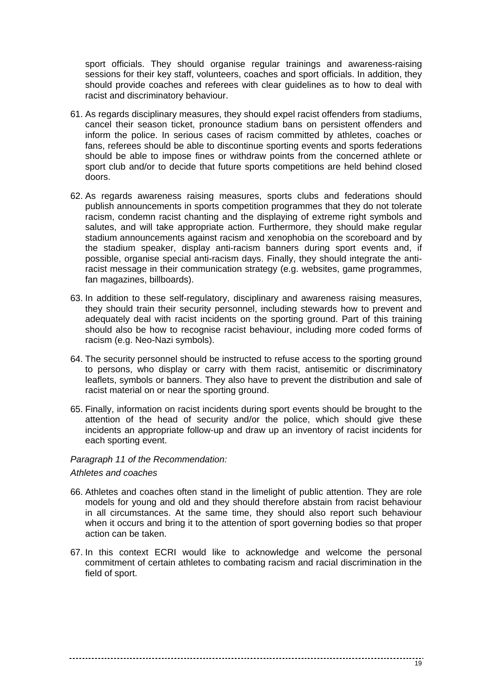sport officials. They should organise regular trainings and awareness-raising sessions for their key staff, volunteers, coaches and sport officials. In addition, they should provide coaches and referees with clear guidelines as to how to deal with racist and discriminatory behaviour.

- 61. As regards disciplinary measures, they should expel racist offenders from stadiums, cancel their season ticket, pronounce stadium bans on persistent offenders and inform the police. In serious cases of racism committed by athletes, coaches or fans, referees should be able to discontinue sporting events and sports federations should be able to impose fines or withdraw points from the concerned athlete or sport club and/or to decide that future sports competitions are held behind closed doors.
- 62. As regards awareness raising measures, sports clubs and federations should publish announcements in sports competition programmes that they do not tolerate racism, condemn racist chanting and the displaying of extreme right symbols and salutes, and will take appropriate action. Furthermore, they should make regular stadium announcements against racism and xenophobia on the scoreboard and by the stadium speaker, display anti-racism banners during sport events and, if possible, organise special anti-racism days. Finally, they should integrate the antiracist message in their communication strategy (e.g. websites, game programmes, fan magazines, billboards).
- 63. In addition to these self-regulatory, disciplinary and awareness raising measures, they should train their security personnel, including stewards how to prevent and adequately deal with racist incidents on the sporting ground. Part of this training should also be how to recognise racist behaviour, including more coded forms of racism (e.g. Neo-Nazi symbols).
- 64. The security personnel should be instructed to refuse access to the sporting ground to persons, who display or carry with them racist, antisemitic or discriminatory leaflets, symbols or banners. They also have to prevent the distribution and sale of racist material on or near the sporting ground.
- 65. Finally, information on racist incidents during sport events should be brought to the attention of the head of security and/or the police, which should give these incidents an appropriate follow-up and draw up an inventory of racist incidents for each sporting event.

#### Paragraph 11 of the Recommendation:

Athletes and coaches

- 66. Athletes and coaches often stand in the limelight of public attention. They are role models for young and old and they should therefore abstain from racist behaviour in all circumstances. At the same time, they should also report such behaviour when it occurs and bring it to the attention of sport governing bodies so that proper action can be taken.
- 67. In this context ECRI would like to acknowledge and welcome the personal commitment of certain athletes to combating racism and racial discrimination in the field of sport.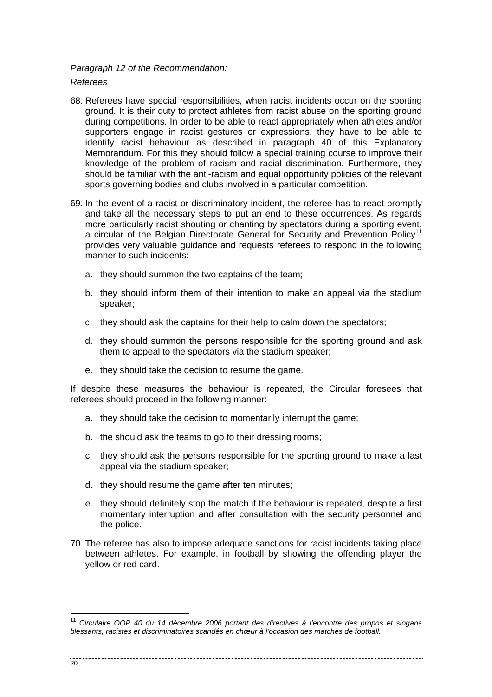# Paragraph 12 of the Recommendation:

Referees

- 68. Referees have special responsibilities, when racist incidents occur on the sporting ground. It is their duty to protect athletes from racist abuse on the sporting ground during competitions. In order to be able to react appropriately when athletes and/or supporters engage in racist gestures or expressions, they have to be able to identify racist behaviour as described in paragraph 40 of this Explanatory Memorandum. For this they should follow a special training course to improve their knowledge of the problem of racism and racial discrimination. Furthermore, they should be familiar with the anti-racism and equal opportunity policies of the relevant sports governing bodies and clubs involved in a particular competition.
- 69. In the event of a racist or discriminatory incident, the referee has to react promptly and take all the necessary steps to put an end to these occurrences. As regards more particularly racist shouting or chanting by spectators during a sporting event, a circular of the Belgian Directorate General for Security and Prevention Policy<sup>11</sup> provides very valuable guidance and requests referees to respond in the following manner to such incidents:
	- a. they should summon the two captains of the team;
	- b. they should inform them of their intention to make an appeal via the stadium speaker;
	- c. they should ask the captains for their help to calm down the spectators;
	- d. they should summon the persons responsible for the sporting ground and ask them to appeal to the spectators via the stadium speaker;
	- e. they should take the decision to resume the game.

If despite these measures the behaviour is repeated, the Circular foresees that referees should proceed in the following manner:

- a. they should take the decision to momentarily interrupt the game;
- b. the should ask the teams to go to their dressing rooms;
- c. they should ask the persons responsible for the sporting ground to make a last appeal via the stadium speaker;
- d. they should resume the game after ten minutes;
- e. they should definitely stop the match if the behaviour is repeated, despite a first momentary interruption and after consultation with the security personnel and the police.
- 70. The referee has also to impose adequate sanctions for racist incidents taking place between athletes. For example, in football by showing the offending player the yellow or red card.

<sup>&</sup>lt;sup>11</sup> Circulaire OOP 40 du 14 décembre 2006 portant des directives à l'encontre des propos et slogans blessants, racistes et discriminatoires scandés en chœur à l'occasion des matches de football.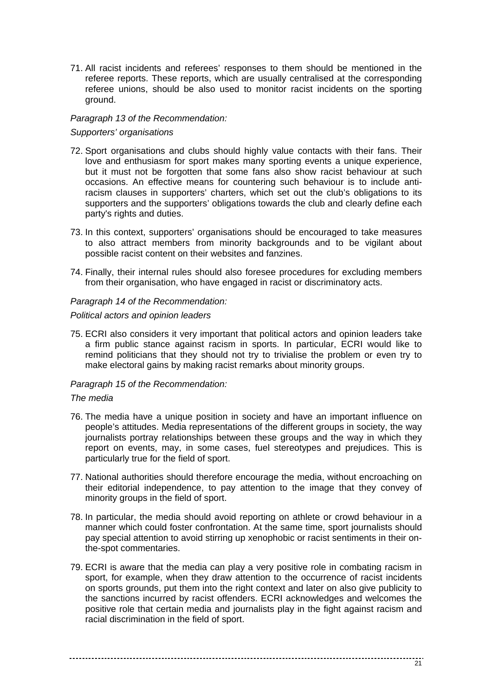71. All racist incidents and referees' responses to them should be mentioned in the referee reports. These reports, which are usually centralised at the corresponding referee unions, should be also used to monitor racist incidents on the sporting ground.

# Paragraph 13 of the Recommendation:

# Supporters' organisations

- 72. Sport organisations and clubs should highly value contacts with their fans. Their love and enthusiasm for sport makes many sporting events a unique experience, but it must not be forgotten that some fans also show racist behaviour at such occasions. An effective means for countering such behaviour is to include antiracism clauses in supporters' charters, which set out the club's obligations to its supporters and the supporters' obligations towards the club and clearly define each party's rights and duties.
- 73. In this context, supporters' organisations should be encouraged to take measures to also attract members from minority backgrounds and to be vigilant about possible racist content on their websites and fanzines.
- 74. Finally, their internal rules should also foresee procedures for excluding members from their organisation, who have engaged in racist or discriminatory acts.

# Paragraph 14 of the Recommendation:

# Political actors and opinion leaders

75. ECRI also considers it very important that political actors and opinion leaders take a firm public stance against racism in sports. In particular, ECRI would like to remind politicians that they should not try to trivialise the problem or even try to make electoral gains by making racist remarks about minority groups.

# Paragraph 15 of the Recommendation:

# The media

- 76. The media have a unique position in society and have an important influence on people's attitudes. Media representations of the different groups in society, the way journalists portray relationships between these groups and the way in which they report on events, may, in some cases, fuel stereotypes and prejudices. This is particularly true for the field of sport.
- 77. National authorities should therefore encourage the media, without encroaching on their editorial independence, to pay attention to the image that they convey of minority groups in the field of sport.
- 78. In particular, the media should avoid reporting on athlete or crowd behaviour in a manner which could foster confrontation. At the same time, sport journalists should pay special attention to avoid stirring up xenophobic or racist sentiments in their onthe-spot commentaries.
- 79. ECRI is aware that the media can play a very positive role in combating racism in sport, for example, when they draw attention to the occurrence of racist incidents on sports grounds, put them into the right context and later on also give publicity to the sanctions incurred by racist offenders. ECRI acknowledges and welcomes the positive role that certain media and journalists play in the fight against racism and racial discrimination in the field of sport.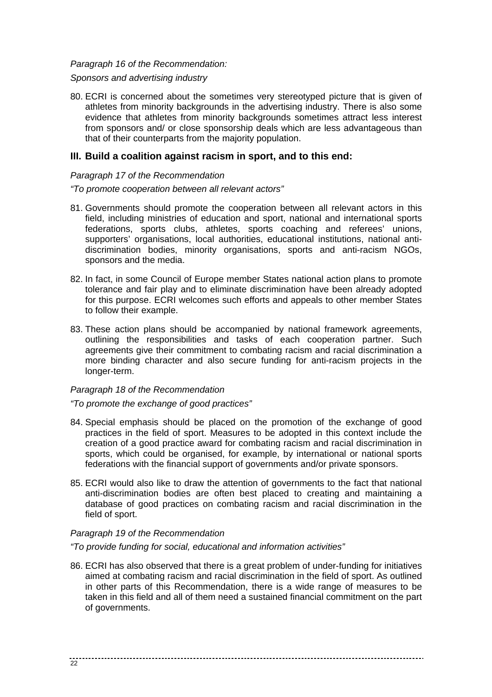#### Paragraph 16 of the Recommendation:

#### Sponsors and advertising industry

80. ECRI is concerned about the sometimes very stereotyped picture that is given of athletes from minority backgrounds in the advertising industry. There is also some evidence that athletes from minority backgrounds sometimes attract less interest from sponsors and/ or close sponsorship deals which are less advantageous than that of their counterparts from the majority population.

# **III. Build a coalition against racism in sport, and to this end:**

### Paragraph 17 of the Recommendation

#### "To promote cooperation between all relevant actors"

- 81. Governments should promote the cooperation between all relevant actors in this field, including ministries of education and sport, national and international sports federations, sports clubs, athletes, sports coaching and referees' unions, supporters' organisations, local authorities, educational institutions, national antidiscrimination bodies, minority organisations, sports and anti-racism NGOs, sponsors and the media.
- 82. In fact, in some Council of Europe member States national action plans to promote tolerance and fair play and to eliminate discrimination have been already adopted for this purpose. ECRI welcomes such efforts and appeals to other member States to follow their example.
- 83. These action plans should be accompanied by national framework agreements, outlining the responsibilities and tasks of each cooperation partner. Such agreements give their commitment to combating racism and racial discrimination a more binding character and also secure funding for anti-racism projects in the longer-term.

# Paragraph 18 of the Recommendation

# "To promote the exchange of good practices"

- 84. Special emphasis should be placed on the promotion of the exchange of good practices in the field of sport. Measures to be adopted in this context include the creation of a good practice award for combating racism and racial discrimination in sports, which could be organised, for example, by international or national sports federations with the financial support of governments and/or private sponsors.
- 85. ECRI would also like to draw the attention of governments to the fact that national anti-discrimination bodies are often best placed to creating and maintaining a database of good practices on combating racism and racial discrimination in the field of sport.

# Paragraph 19 of the Recommendation

"To provide funding for social, educational and information activities"

86. ECRI has also observed that there is a great problem of under-funding for initiatives aimed at combating racism and racial discrimination in the field of sport. As outlined in other parts of this Recommendation, there is a wide range of measures to be taken in this field and all of them need a sustained financial commitment on the part of governments.